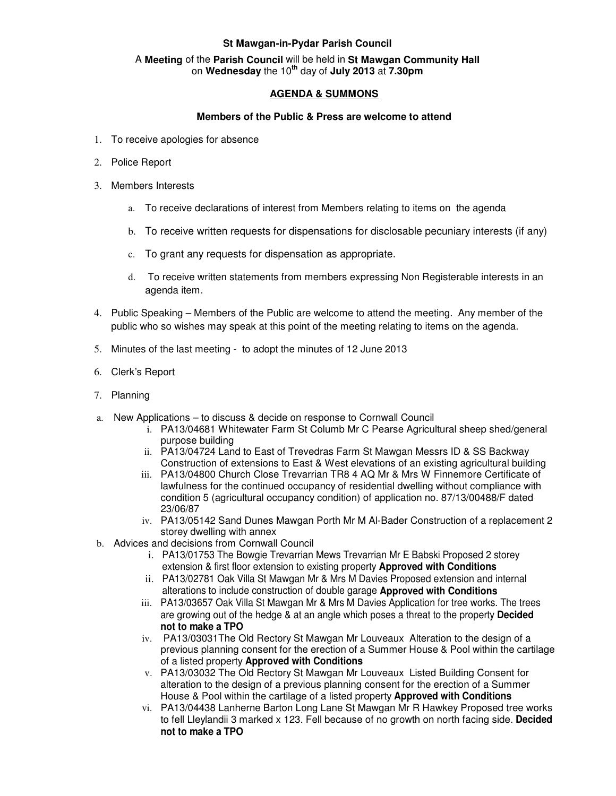## **St Mawgan-in-Pydar Parish Council**

## A **Meeting** of the **Parish Council** will be held in **St Mawgan Community Hall** on **Wednesday** the 10**th** day of **July 2013** at **7.30pm**

## **AGENDA & SUMMONS**

## **Members of the Public & Press are welcome to attend**

- 1. To receive apologies for absence
- 2. Police Report
- 3. Members Interests
	- a. To receive declarations of interest from Members relating to items on the agenda
	- b. To receive written requests for dispensations for disclosable pecuniary interests (if any)
	- c. To grant any requests for dispensation as appropriate.
	- d. To receive written statements from members expressing Non Registerable interests in an agenda item.
- 4. Public Speaking Members of the Public are welcome to attend the meeting. Any member of the public who so wishes may speak at this point of the meeting relating to items on the agenda.
- 5. Minutes of the last meeting to adopt the minutes of 12 June 2013
- 6. Clerk's Report
- 7. Planning
- a. New Applications to discuss & decide on response to Cornwall Council
	- i. PA13/04681 Whitewater Farm St Columb Mr C Pearse Agricultural sheep shed/general purpose building
	- ii. PA13/04724 Land to East of Trevedras Farm St Mawgan Messrs ID & SS Backway Construction of extensions to East & West elevations of an existing agricultural building
	- iii. PA13/04800 Church Close Trevarrian TR8 4 AQ Mr & Mrs W Finnemore Certificate of lawfulness for the continued occupancy of residential dwelling without compliance with condition 5 (agricultural occupancy condition) of application no. 87/13/00488/F dated 23/06/87
	- iv. PA13/05142 Sand Dunes Mawgan Porth Mr M Al-Bader Construction of a replacement 2 storey dwelling with annex
- b. Advices and decisions from Cornwall Council
	- i. PA13/01753 The Bowgie Trevarrian Mews Trevarrian Mr E Babski Proposed 2 storey extension & first floor extension to existing property **Approved with Conditions**
	- ii. PA13/02781 Oak Villa St Mawgan Mr & Mrs M Davies Proposed extension and internal alterations to include construction of double garage **Approved with Conditions**
	- iii. PA13/03657 Oak Villa St Mawgan Mr & Mrs M Davies Application for tree works. The trees are growing out of the hedge & at an angle which poses a threat to the property **Decided not to make a TPO**
	- iv. PA13/03031The Old Rectory St Mawgan Mr Louveaux Alteration to the design of a previous planning consent for the erection of a Summer House & Pool within the cartilage of a listed property **Approved with Conditions**
	- v. PA13/03032 The Old Rectory St Mawgan Mr Louveaux Listed Building Consent for alteration to the design of a previous planning consent for the erection of a Summer House & Pool within the cartilage of a listed property **Approved with Conditions**
	- vi. PA13/04438 Lanherne Barton Long Lane St Mawgan Mr R Hawkey Proposed tree works to fell Lleylandii 3 marked x 123. Fell because of no growth on north facing side. **Decided not to make a TPO**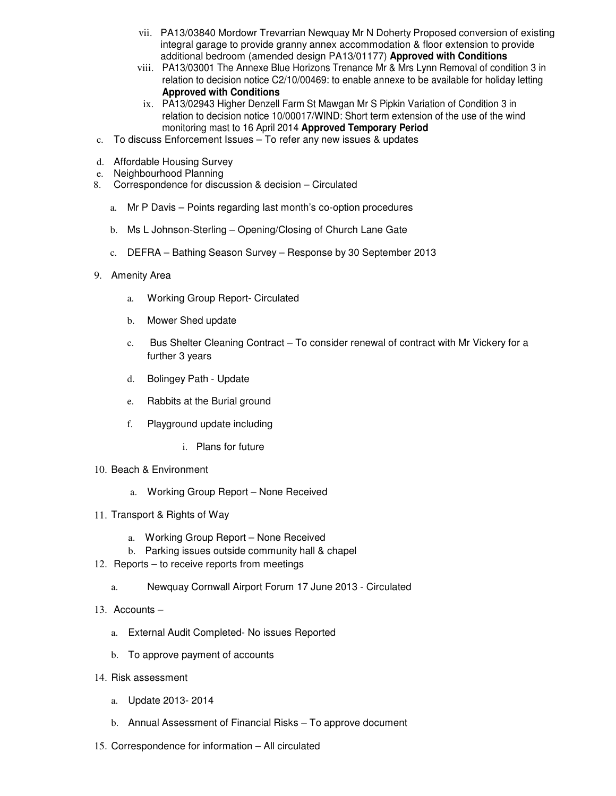- vii. PA13/03840 Mordowr Trevarrian Newquay Mr N Doherty Proposed conversion of existing integral garage to provide granny annex accommodation & floor extension to provide additional bedroom (amended design PA13/01177) **Approved with Conditions**
- viii. PA13/03001 The Annexe Blue Horizons Trenance Mr & Mrs Lynn Removal of condition 3 in relation to decision notice C2/10/00469: to enable annexe to be available for holiday letting **Approved with Conditions**
- ix. PA13/02943 Higher Denzell Farm St Mawgan Mr S Pipkin Variation of Condition 3 in relation to decision notice 10/00017/WIND: Short term extension of the use of the wind monitoring mast to 16 April 2014 **Approved Temporary Period**
- c. To discuss Enforcement Issues To refer any new issues & updates
- d. Affordable Housing Survey
- e. Neighbourhood Planning
- 8. Correspondence for discussion & decision Circulated
	- a. Mr P Davis Points regarding last month's co-option procedures
	- b. Ms L Johnson-Sterling Opening/Closing of Church Lane Gate
	- c. DEFRA Bathing Season Survey Response by 30 September 2013
- 9. Amenity Area
	- a. Working Group Report- Circulated
	- b. Mower Shed update
	- c. Bus Shelter Cleaning Contract To consider renewal of contract with Mr Vickery for a further 3 years
	- d. Bolingey Path Update
	- e. Rabbits at the Burial ground
	- f. Playground update including
		- i. Plans for future
- 10. Beach & Environment
	- a. Working Group Report None Received
- 11. Transport & Rights of Way
	- a. Working Group Report None Received
	- b. Parking issues outside community hall & chapel
- 12. Reports to receive reports from meetings
	- a. Newquay Cornwall Airport Forum 17 June 2013 Circulated
- 13. Accounts
	- a. External Audit Completed- No issues Reported
	- b. To approve payment of accounts
- 14. Risk assessment
	- a. Update 2013- 2014
	- b. Annual Assessment of Financial Risks To approve document
- 15. Correspondence for information All circulated